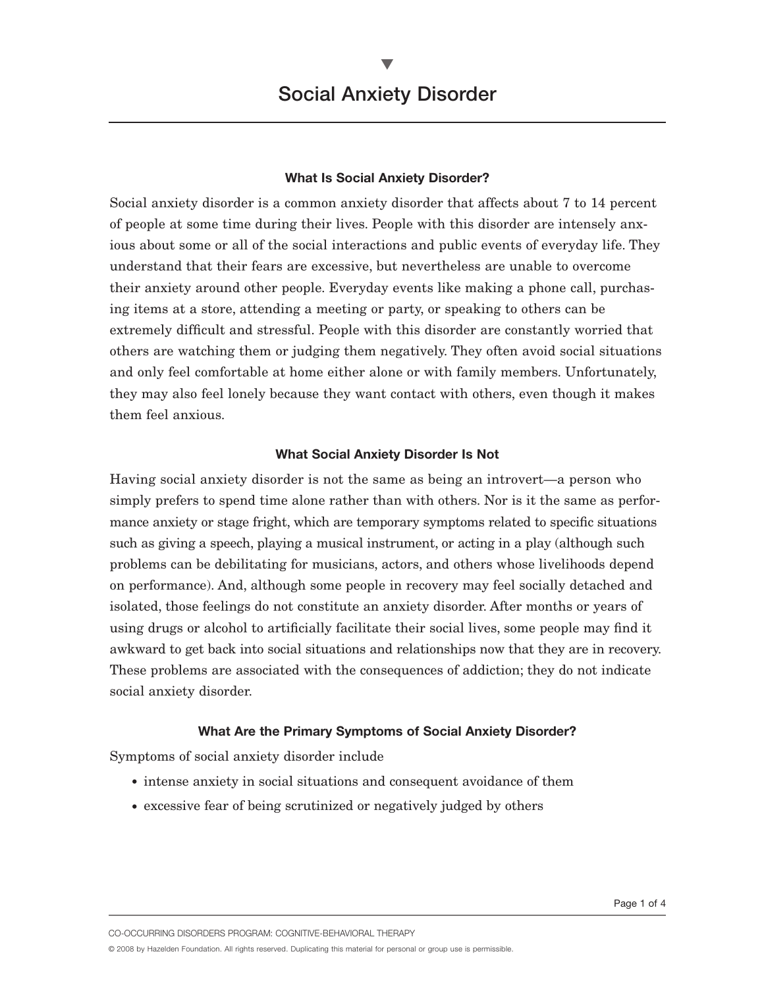### **What Is Social Anxiety Disorder?**

Social anxiety disorder is a common anxiety disorder that affects about 7 to 14 percent of people at some time during their lives. People with this disorder are intensely anxious about some or all of the social interactions and public events of everyday life. They understand that their fears are excessive, but nevertheless are unable to overcome their anxiety around other people. Everyday events like making a phone call, purchasing items at a store, attending a meeting or party, or speaking to others can be extremely difficult and stressful. People with this disorder are constantly worried that others are watching them or judging them negatively. They often avoid social situations and only feel comfortable at home either alone or with family members. Unfortunately, they may also feel lonely because they want contact with others, even though it makes them feel anxious.

#### **What Social Anxiety Disorder Is Not**

Having social anxiety disorder is not the same as being an introvert—a person who simply prefers to spend time alone rather than with others. Nor is it the same as performance anxiety or stage fright, which are temporary symptoms related to specific situations such as giving a speech, playing a musical instrument, or acting in a play (although such problems can be debilitating for musicians, actors, and others whose livelihoods depend on performance). And, although some people in recovery may feel socially detached and isolated, those feelings do not constitute an anxiety disorder. After months or years of using drugs or alcohol to artificially facilitate their social lives, some people may find it awkward to get back into social situations and relationships now that they are in recovery. These problems are associated with the consequences of addiction; they do not indicate social anxiety disorder.

### **What Are the Primary Symptoms of Social Anxiety Disorder?**

Symptoms of social anxiety disorder include

- intense anxiety in social situations and consequent avoidance of them
- excessive fear of being scrutinized or negatively judged by others

CO-OCCURRING DISORDERS PROGRAM: COGNITIVE-BEHAVIORAL THERAPY

© 2008 by Hazelden Foundation. All rights reserved. Duplicating this material for personal or group use is permissible.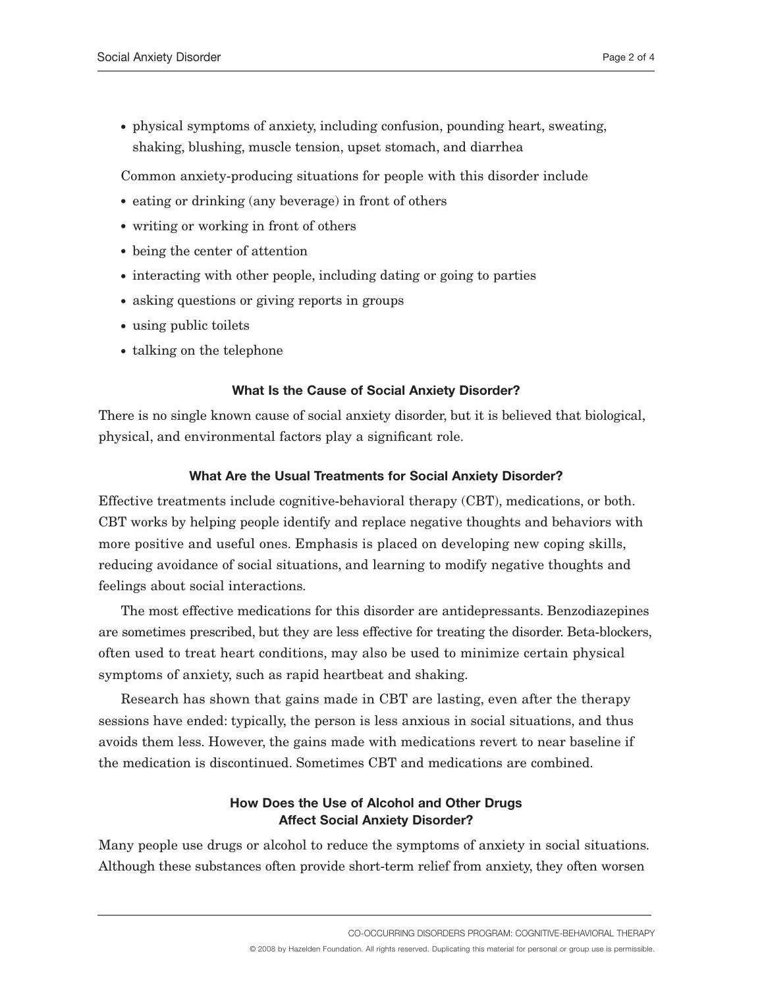• physical symptoms of anxiety, including confusion, pounding heart, sweating, shaking, blushing, muscle tension, upset stomach, and diarrhea

Common anxiety-producing situations for people with this disorder include

- eating or drinking (any beverage) in front of others
- writing or working in front of others
- being the center of attention
- interacting with other people, including dating or going to parties
- asking questions or giving reports in groups
- using public toilets
- talking on the telephone

## **What Is the Cause of Social Anxiety Disorder?**

There is no single known cause of social anxiety disorder, but it is believed that biological, physical, and environmental factors play a significant role.

# **What Are the Usual Treatments for Social Anxiety Disorder?**

Effective treatments include cognitive-behavioral therapy (CBT), medications, or both. CBT works by helping people identify and replace negative thoughts and behaviors with more positive and useful ones. Emphasis is placed on developing new coping skills, reducing avoidance of social situations, and learning to modify negative thoughts and feelings about social interactions.

The most effective medications for this disorder are antidepressants. Benzodiazepines are sometimes prescribed, but they are less effective for treating the disorder. Beta-blockers, often used to treat heart conditions, may also be used to minimize certain physical symptoms of anxiety, such as rapid heartbeat and shaking.

Research has shown that gains made in CBT are lasting, even after the therapy sessions have ended: typically, the person is less anxious in social situations, and thus avoids them less. However, the gains made with medications revert to near baseline if the medication is discontinued. Sometimes CBT and medications are combined.

# **How Does the Use of Alcohol and Other Drugs Affect Social Anxiety Disorder?**

Many people use drugs or alcohol to reduce the symptoms of anxiety in social situations. Although these substances often provide short-term relief from anxiety, they often worsen

CO-OCCURRING DISORDERS PROGRAM: COGNITIVE-BEHAVIORAL THERAPY

© 2008 by Hazelden Foundation. All rights reserved. Duplicating this material for personal or group use is permissible.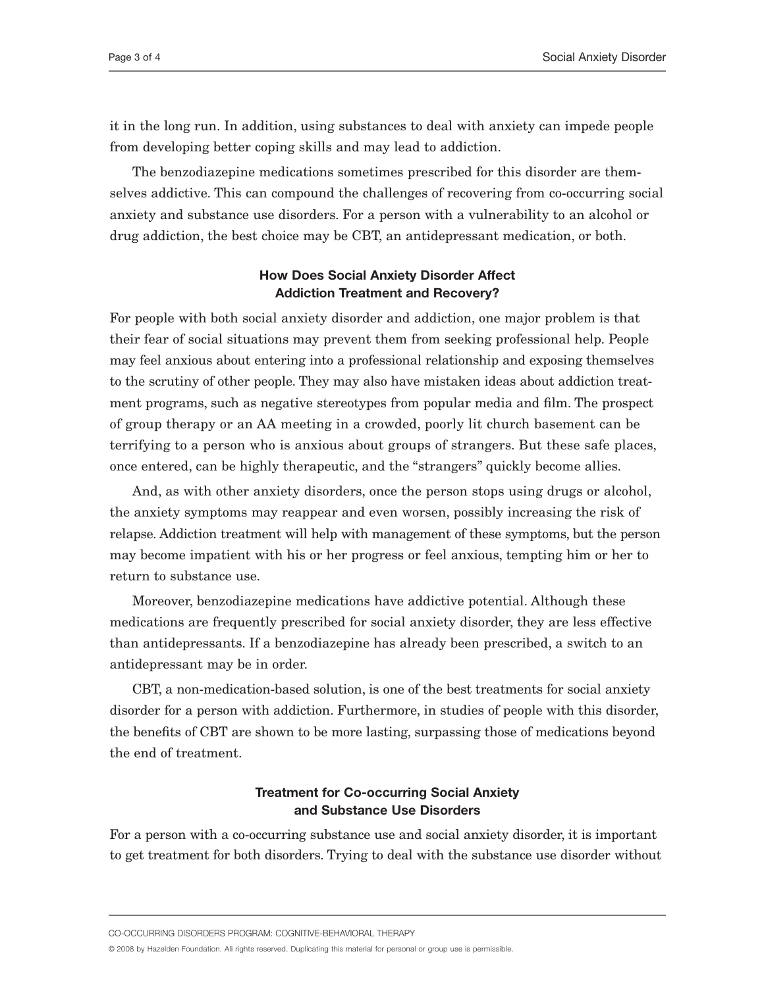it in the long run. In addition, using substances to deal with anxiety can impede people from developing better coping skills and may lead to addiction.

The benzodiazepine medications sometimes prescribed for this disorder are themselves addictive. This can compound the challenges of recovering from co-occurring social anxiety and substance use disorders. For a person with a vulnerability to an alcohol or drug addiction, the best choice may be CBT, an antidepressant medication, or both.

## **How Does Social Anxiety Disorder Affect Addiction Treatment and Recovery?**

For people with both social anxiety disorder and addiction, one major problem is that their fear of social situations may prevent them from seeking professional help. People may feel anxious about entering into a professional relationship and exposing themselves to the scrutiny of other people. They may also have mistaken ideas about addiction treatment programs, such as negative stereotypes from popular media and film. The prospect of group therapy or an AA meeting in a crowded, poorly lit church basement can be terrifying to a person who is anxious about groups of strangers. But these safe places, once entered, can be highly therapeutic, and the "strangers" quickly become allies.

And, as with other anxiety disorders, once the person stops using drugs or alcohol, the anxiety symptoms may reappear and even worsen, possibly increasing the risk of relapse. Addiction treatment will help with management of these symptoms, but the person may become impatient with his or her progress or feel anxious, tempting him or her to return to substance use.

Moreover, benzodiazepine medications have addictive potential. Although these medications are frequently prescribed for social anxiety disorder, they are less effective than antidepressants. If a benzodiazepine has already been prescribed, a switch to an antidepressant may be in order.

CBT, a non-medication-based solution, is one of the best treatments for social anxiety disorder for a person with addiction. Furthermore, in studies of people with this disorder, the benefits of CBT are shown to be more lasting, surpassing those of medications beyond the end of treatment.

## **Treatment for Co-occurring Social Anxiety and Substance Use Disorders**

For a person with a co-occurring substance use and social anxiety disorder, it is important to get treatment for both disorders. Trying to deal with the substance use disorder without

CO-OCCURRING DISORDERS PROGRAM: COGNITIVE-BEHAVIORAL THERAPY

© 2008 by Hazelden Foundation. All rights reserved. Duplicating this material for personal or group use is permissible.